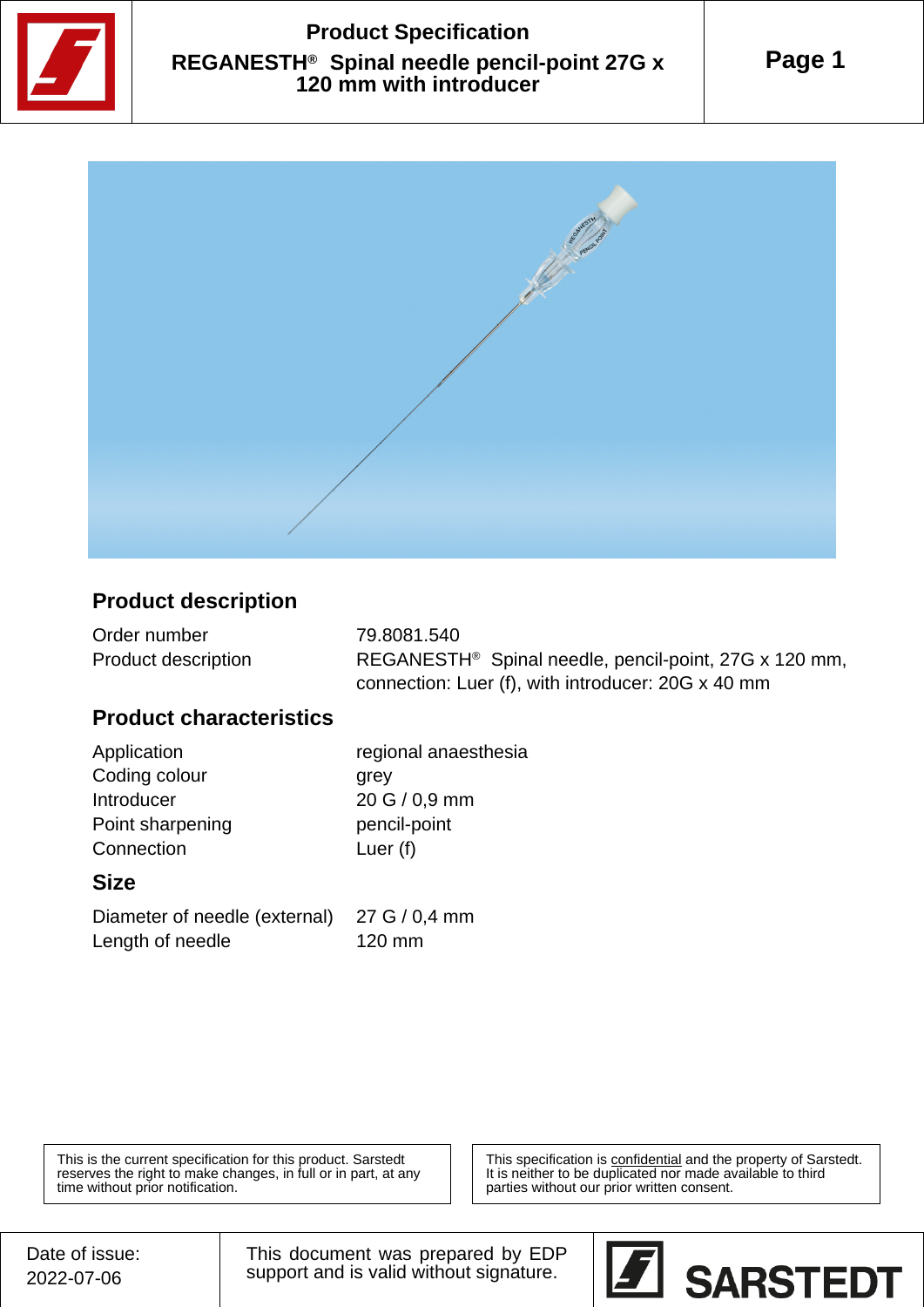

## **Product Specification REGANESTH® Spinal needle pencil-point 27G x 120 mm with introducer**





#### **Product description**

| Order number               | 79.8081.540                                                       |
|----------------------------|-------------------------------------------------------------------|
| <b>Product description</b> | REGANESTH <sup>®</sup> Spinal needle, pencil-point, 27G x 120 mm, |
|                            | connection: Luer (f), with introducer: 20G x 40 mm                |

#### **Product characteristics**

Coding colour grey Introducer 20 G / 0,9 mm Point sharpening pencil-point Connection Luer (f)

Application regional anaesthesia

#### **Size**

Diameter of needle (external) 27 G / 0,4 mm Length of needle 120 mm

This is the current specification for this product. Sarstedt reserves the right to make changes, in full or in part, at any time without prior notification.

This specification is confidential and the property of Sarstedt. It is neither to be duplicated nor made available to third parties without our prior written consent.

This document was prepared by EDP support and is valid without signature.